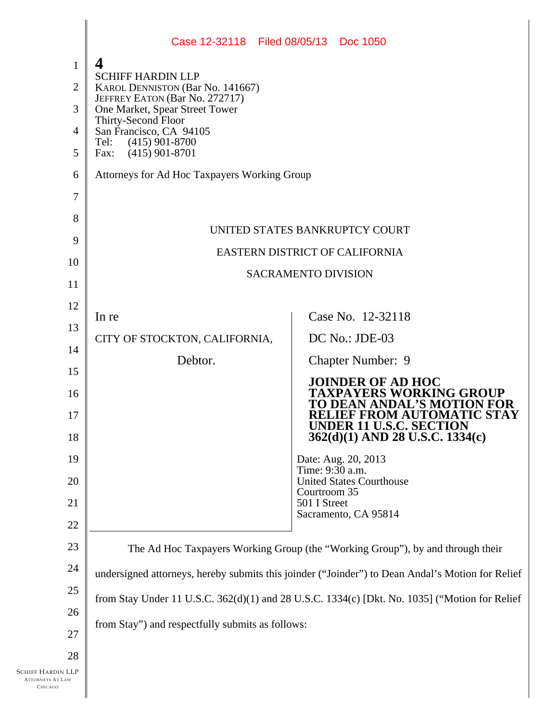|                                                         | Case 12-32118 Filed 08/05/13 Doc 1050                                                                              |                                                            |
|---------------------------------------------------------|--------------------------------------------------------------------------------------------------------------------|------------------------------------------------------------|
| $\mathbf{1}$                                            | 4                                                                                                                  |                                                            |
| $\overline{2}$                                          | <b>SCHIFF HARDIN LLP</b><br><b>KAROL DENNISTON (Bar No. 141667)</b>                                                |                                                            |
| 3                                                       | JEFFREY EATON (Bar No. 272717)<br>One Market, Spear Street Tower<br>Thirty-Second Floor<br>San Francisco, CA 94105 |                                                            |
| $\overline{4}$                                          |                                                                                                                    |                                                            |
| 5                                                       | $(415)$ 901-8700<br>Tel:<br>$(415)$ 901-8701<br>Fax:                                                               |                                                            |
| 6                                                       | Attorneys for Ad Hoc Taxpayers Working Group                                                                       |                                                            |
| 7                                                       |                                                                                                                    |                                                            |
| 8                                                       |                                                                                                                    |                                                            |
| 9                                                       | UNITED STATES BANKRUPTCY COURT<br>EASTERN DISTRICT OF CALIFORNIA<br><b>SACRAMENTO DIVISION</b>                     |                                                            |
| 10                                                      |                                                                                                                    |                                                            |
| 11                                                      |                                                                                                                    |                                                            |
| 12                                                      |                                                                                                                    |                                                            |
| 13                                                      | In re                                                                                                              | Case No. 12-32118                                          |
| 14                                                      | CITY OF STOCKTON, CALIFORNIA,                                                                                      | DC No.: JDE-03                                             |
| 15                                                      | Debtor.                                                                                                            | <b>Chapter Number: 9</b>                                   |
| 16                                                      |                                                                                                                    | <b>JOINDER OF AD HOC</b><br><b>TAXPAYERS WORKING GROUP</b> |
| 17                                                      |                                                                                                                    | TO DEAN ANDAL'S MOTION FOR<br>RELIEF FROM AUTOMATIC STAY   |
| 18                                                      |                                                                                                                    | UNDER 11 U.S.C. SECTION<br>362(d)(1) AND 28 U.S.C. 1334(c) |
| 19                                                      |                                                                                                                    | Date: Aug. 20, 2013<br>Time: 9:30 a.m.                     |
| 20                                                      |                                                                                                                    | <b>United States Courthouse</b><br>Courtroom 35            |
| 21                                                      |                                                                                                                    | 501 I Street<br>Sacramento, CA 95814                       |
| 22                                                      |                                                                                                                    |                                                            |
| 23                                                      | The Ad Hoc Taxpayers Working Group (the "Working Group"), by and through their                                     |                                                            |
| 24                                                      | undersigned attorneys, hereby submits this joinder ("Joinder") to Dean Andal's Motion for Relief                   |                                                            |
| 25                                                      | from Stay Under 11 U.S.C. 362(d)(1) and 28 U.S.C. 1334(c) [Dkt. No. 1035] ("Motion for Relief                      |                                                            |
| 26                                                      |                                                                                                                    |                                                            |
| 27                                                      | from Stay") and respectfully submits as follows:                                                                   |                                                            |
| 28                                                      |                                                                                                                    |                                                            |
| Schiff Hardin LLP<br><b>ATTORNEYS AT LAW</b><br>CHICAGO |                                                                                                                    |                                                            |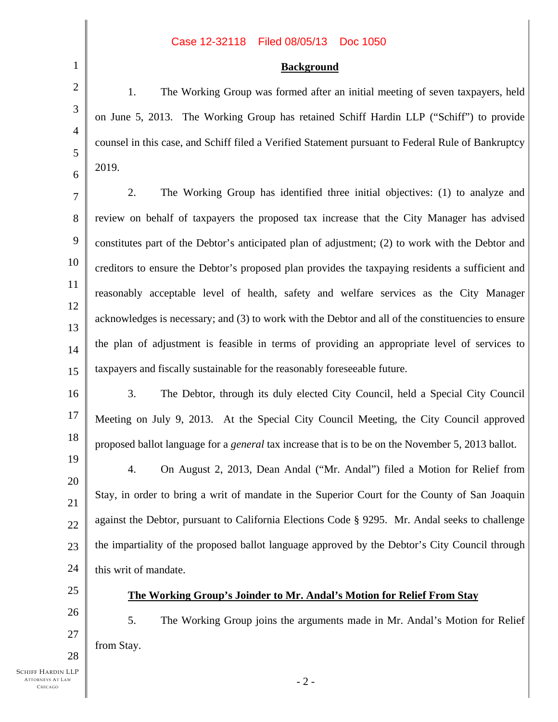## Case 12-32118 Filed 08/05/13 Doc 1050

## **Background**

1. The Working Group was formed after an initial meeting of seven taxpayers, held on June 5, 2013. The Working Group has retained Schiff Hardin LLP ("Schiff") to provide counsel in this case, and Schiff filed a Verified Statement pursuant to Federal Rule of Bankruptcy 2019.

7 8 9 10 11 12 13 14 15 2. The Working Group has identified three initial objectives: (1) to analyze and review on behalf of taxpayers the proposed tax increase that the City Manager has advised constitutes part of the Debtor's anticipated plan of adjustment; (2) to work with the Debtor and creditors to ensure the Debtor's proposed plan provides the taxpaying residents a sufficient and reasonably acceptable level of health, safety and welfare services as the City Manager acknowledges is necessary; and (3) to work with the Debtor and all of the constituencies to ensure the plan of adjustment is feasible in terms of providing an appropriate level of services to taxpayers and fiscally sustainable for the reasonably foreseeable future.

16 17 18 3. The Debtor, through its duly elected City Council, held a Special City Council Meeting on July 9, 2013. At the Special City Council Meeting, the City Council approved proposed ballot language for a *general* tax increase that is to be on the November 5, 2013 ballot.

19 20 21 22 23 24 4. On August 2, 2013, Dean Andal ("Mr. Andal") filed a Motion for Relief from Stay, in order to bring a writ of mandate in the Superior Court for the County of San Joaquin against the Debtor, pursuant to California Elections Code § 9295. Mr. Andal seeks to challenge the impartiality of the proposed ballot language approved by the Debtor's City Council through this writ of mandate.

25 26

27

28

1

2

3

4

5

6

## **The Working Group's Joinder to Mr. Andal's Motion for Relief From Stay**

5. The Working Group joins the arguments made in Mr. Andal's Motion for Relief from Stay.

SCHIFF HARDIN LLP ATTORNEYS AT LAW CHICAGO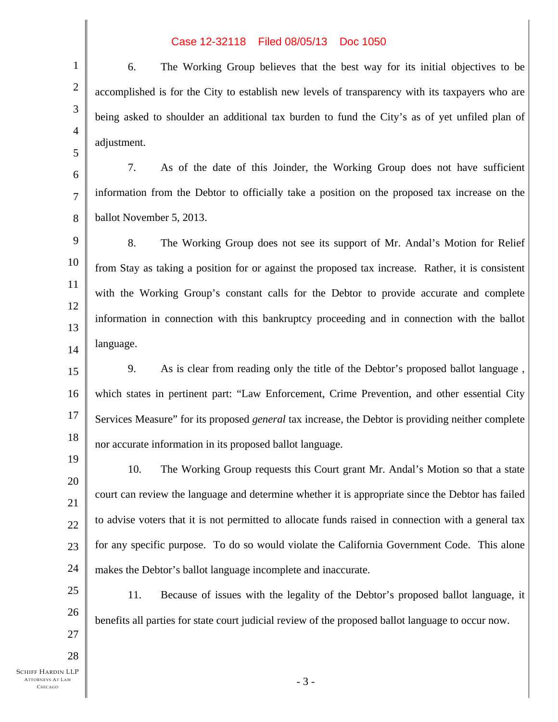## Case 12-32118 Filed 08/05/13 Doc 1050

6. The Working Group believes that the best way for its initial objectives to be accomplished is for the City to establish new levels of transparency with its taxpayers who are being asked to shoulder an additional tax burden to fund the City's as of yet unfiled plan of adjustment.

7. As of the date of this Joinder, the Working Group does not have sufficient information from the Debtor to officially take a position on the proposed tax increase on the ballot November 5, 2013.

9 10 11 12 13 14 8. The Working Group does not see its support of Mr. Andal's Motion for Relief from Stay as taking a position for or against the proposed tax increase. Rather, it is consistent with the Working Group's constant calls for the Debtor to provide accurate and complete information in connection with this bankruptcy proceeding and in connection with the ballot language.

15 16 17 18 9. As is clear from reading only the title of the Debtor's proposed ballot language , which states in pertinent part: "Law Enforcement, Crime Prevention, and other essential City Services Measure" for its proposed *general* tax increase, the Debtor is providing neither complete nor accurate information in its proposed ballot language.

19 20 21 22 23 24 10. The Working Group requests this Court grant Mr. Andal's Motion so that a state court can review the language and determine whether it is appropriate since the Debtor has failed to advise voters that it is not permitted to allocate funds raised in connection with a general tax for any specific purpose. To do so would violate the California Government Code. This alone makes the Debtor's ballot language incomplete and inaccurate.

11. Because of issues with the legality of the Debtor's proposed ballot language, it benefits all parties for state court judicial review of the proposed ballot language to occur now.

25

26

27

28

1

2

3

4

5

6

7

8